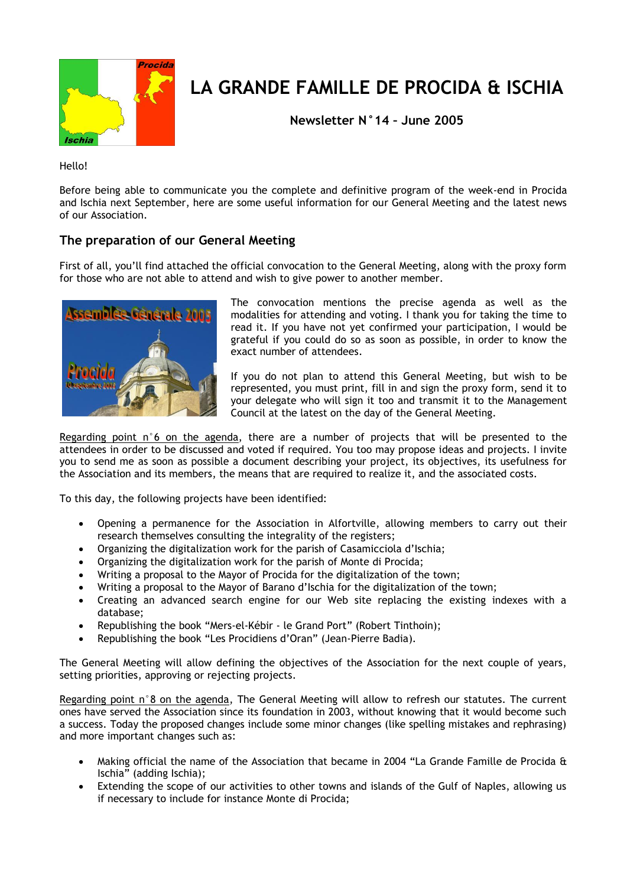

# **LA GRANDE FAMILLE DE PROCIDA & ISCHIA**

**Newsletter N°14 – June 2005**

Hello!

Before being able to communicate you the complete and definitive program of the week-end in Procida and Ischia next September, here are some useful information for our General Meeting and the latest news of our Association.

## **The preparation of our General Meeting**

First of all, you'll find attached the official convocation to the General Meeting, along with the proxy form for those who are not able to attend and wish to give power to another member.



The convocation mentions the precise agenda as well as the modalities for attending and voting. I thank you for taking the time to read it. If you have not yet confirmed your participation, I would be grateful if you could do so as soon as possible, in order to know the exact number of attendees.

If you do not plan to attend this General Meeting, but wish to be represented, you must print, fill in and sign the proxy form, send it to your delegate who will sign it too and transmit it to the Management Council at the latest on the day of the General Meeting.

Regarding point  $n^{\circ}$  on the agenda, there are a number of projects that will be presented to the attendees in order to be discussed and voted if required. You too may propose ideas and projects. I invite you to send me as soon as possible a document describing your project, its objectives, its usefulness for the Association and its members, the means that are required to realize it, and the associated costs.

To this day, the following projects have been identified:

- Opening a permanence for the Association in Alfortville, allowing members to carry out their research themselves consulting the integrality of the registers;
- Organizing the digitalization work for the parish of Casamicciola d'Ischia;
- Organizing the digitalization work for the parish of Monte di Procida;
- Writing a proposal to the Mayor of Procida for the digitalization of the town;
- Writing a proposal to the Mayor of Barano d'Ischia for the digitalization of the town;
- Creating an advanced search engine for our Web site replacing the existing indexes with a database;
- Republishing the book "Mers-el-Kébir le Grand Port" (Robert Tinthoin);
- Republishing the book "Les Procidiens d'Oran" (Jean-Pierre Badia).

The General Meeting will allow defining the objectives of the Association for the next couple of years, setting priorities, approving or rejecting projects.

Regarding point n°8 on the agenda, The General Meeting will allow to refresh our statutes. The current ones have served the Association since its foundation in 2003, without knowing that it would become such a success. Today the proposed changes include some minor changes (like spelling mistakes and rephrasing) and more important changes such as:

- Making official the name of the Association that became in 2004 "La Grande Famille de Procida & Ischia" (adding Ischia);
- Extending the scope of our activities to other towns and islands of the Gulf of Naples, allowing us if necessary to include for instance Monte di Procida;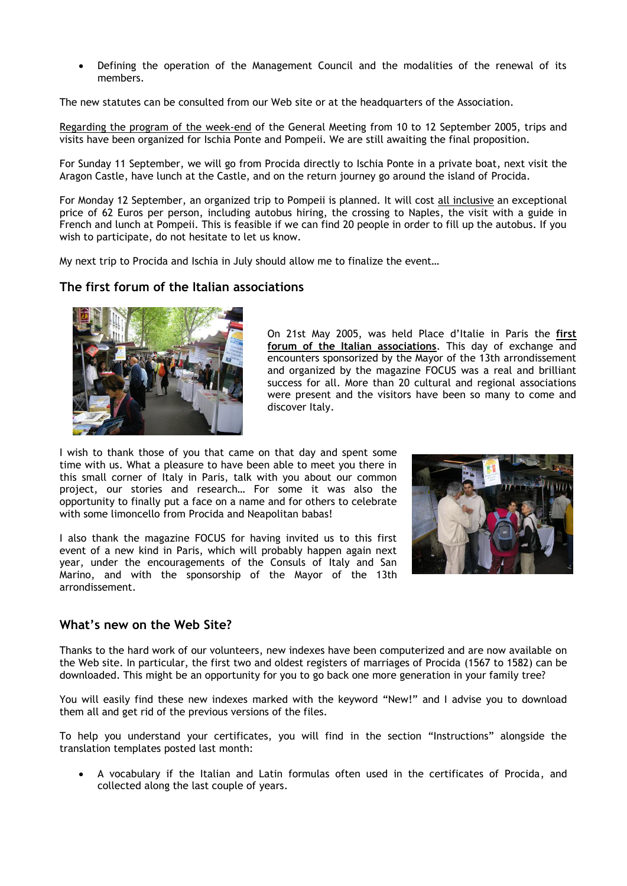Defining the operation of the Management Council and the modalities of the renewal of its members.

The new statutes can be consulted from our Web site or at the headquarters of the Association.

Regarding the program of the week-end of the General Meeting from 10 to 12 September 2005, trips and visits have been organized for Ischia Ponte and Pompeii. We are still awaiting the final proposition.

For Sunday 11 September, we will go from Procida directly to Ischia Ponte in a private boat, next visit the Aragon Castle, have lunch at the Castle, and on the return journey go around the island of Procida.

For Monday 12 September, an organized trip to Pompeii is planned. It will cost all inclusive an exceptional price of 62 Euros per person, including autobus hiring, the crossing to Naples, the visit with a guide in French and lunch at Pompeii. This is feasible if we can find 20 people in order to fill up the autobus. If you wish to participate, do not hesitate to let us know.

My next trip to Procida and Ischia in July should allow me to finalize the event…

#### **The first forum of the Italian associations**



On 21st May 2005, was held Place d'Italie in Paris the **first forum of the Italian associations**. This day of exchange and encounters sponsorized by the Mayor of the 13th arrondissement and organized by the magazine FOCUS was a real and brilliant success for all. More than 20 cultural and regional associations were present and the visitors have been so many to come and discover Italy.

I wish to thank those of you that came on that day and spent some time with us. What a pleasure to have been able to meet you there in this small corner of Italy in Paris, talk with you about our common project, our stories and research… For some it was also the opportunity to finally put a face on a name and for others to celebrate with some limoncello from Procida and Neapolitan babas!

I also thank the magazine FOCUS for having invited us to this first event of a new kind in Paris, which will probably happen again next year, under the encouragements of the Consuls of Italy and San Marino, and with the sponsorship of the Mayor of the 13th arrondissement.



#### **What's new on the Web Site?**

Thanks to the hard work of our volunteers, new indexes have been computerized and are now available on the Web site. In particular, the first two and oldest registers of marriages of Procida (1567 to 1582) can be downloaded. This might be an opportunity for you to go back one more generation in your family tree?

You will easily find these new indexes marked with the keyword "New!" and I advise you to download them all and get rid of the previous versions of the files.

To help you understand your certificates, you will find in the section "Instructions" alongside the translation templates posted last month:

 A vocabulary if the Italian and Latin formulas often used in the certificates of Procida, and collected along the last couple of years.